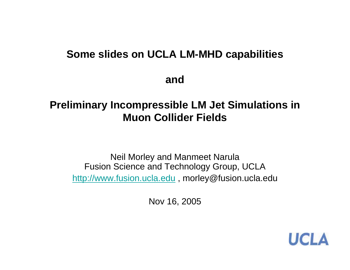#### **Some slides on UCLA LM-MHD capabilities**

**and**

## **Preliminary Incompressible LM Jet Simulations in Muon Collider Fields**

Neil Morley and Manmeet Narula Fusion Science and Technology Group, UCLA http://www.fusion.ucla.edu , morley@fusion.ucla.edu

Nov 16, 2005

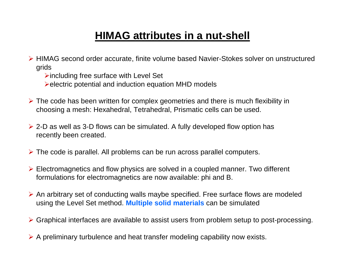## **HIMAG attributes in a nut-shell**

- ¾ HIMAG second order accurate, finite volume based Navier-Stokes solver on unstructured grids
	- $\triangleright$  including free surface with Level Set
	- ¾electric potential and induction equation MHD models
- ¾ The code has been written for complex geometries and there is much flexibility in choosing a mesh: Hexahedral, Tetrahedral, Prismatic cells can be used.
- ¾ 2-D as well as 3-D flows can be simulated. A fully developed flow option has recently been created.
- ¾ The code is parallel. All problems can be run across parallel computers.
- ¾ Electromagnetics and flow physics are solved in a coupled manner. Two different formulations for electromagnetics are now available: phi and B.
- ¾ An arbitrary set of conducting walls maybe specified. Free surface flows are modeled using the Level Set method. **Multiple solid materials** can be simulated
- ¾ Graphical interfaces are available to assist users from problem setup to post-processing.
- ¾ A preliminary turbulence and heat transfer modeling capability now exists.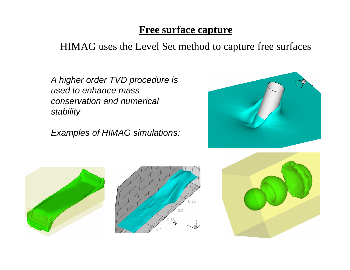## **Free surface capture**

## HIMAG uses the Level Set method to capture free surfaces

*A higher order TVD procedure is used to enhance mass conservation and numerical stability*

*Examples of HIMAG simulations:*







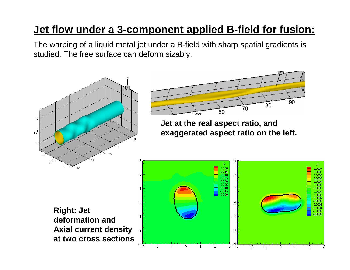## **Jet flow under a 3-component applied B-field for fusion:**

The warping of a liquid metal jet under a B-field with sharp spatial gradients is studied. The free surface can deform sizably.

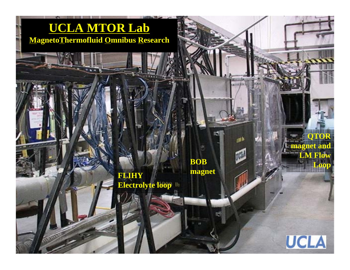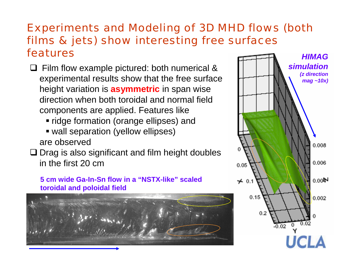#### Experiments and Modeling of 3D MHD flows (both films & jets) show interesting free surfaces features*HIMAG*

- **□** Film flow example pictured: both numerical & experimental results show that the free surface height variation is **asymmetric** in span wise direction when both toroidal and normal field components are applied. Features like
	- ridge formation (orange ellipses) and
	- wall separation (yellow ellipses) are observed
- $\square$  Drag is also significant and film height doubles in the first 20 cm

**5 cm wide Ga-In-Sn flow in a "NSTX-like" scaled toroidal and poloidal field** 



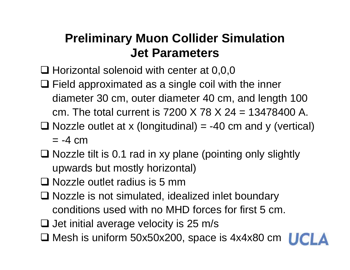# **Preliminary Muon Collider Simulation Jet Parameters**

- $\square$  Horizontal solenoid with center at 0,0,0
- $\Box$  Field approximated as a single coil with the inner diameter 30 cm, outer diameter 40 cm, and length 100 cm. The total current is 7200 X 78 X 24 = 13478400 A.
- $\Box$  Nozzle outlet at x (longitudinal) = -40 cm and y (vertical)  $= -4$  cm
- $\square$  Nozzle tilt is 0.1 rad in xy plane (pointing only slightly upwards but mostly horizontal)
- □ Nozzle outlet radius is 5 mm
- □ Nozzle is not simulated, idealized inlet boundary conditions used with no MHD forces for first 5 cm.
- $\square$  Jet initial average velocity is 25 m/s
- Mesh is uniform 50x50x200, space is 4x4x80 cm

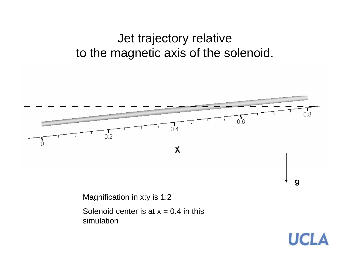# Jet trajectory relative to the magnetic axis of the solenoid.



Magnification in x:y is 1:2

Solenoid center is at  $x = 0.4$  in this simulation

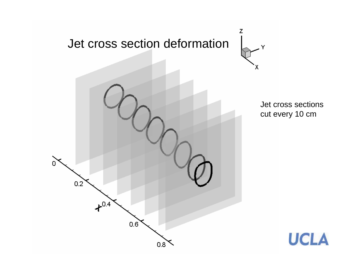

Jet cross sections cut every 10 cm

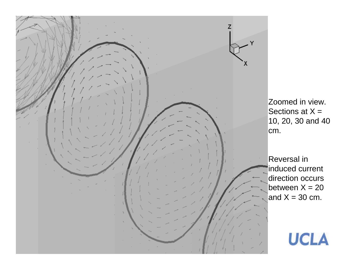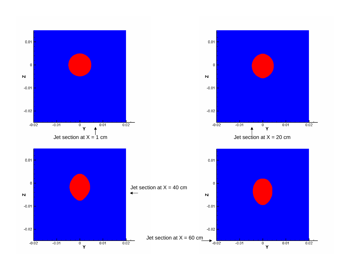